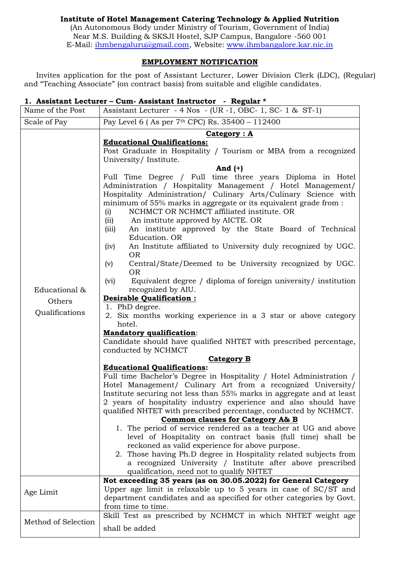# **Institute of Hotel Management Catering Technology & Applied Nutrition**

(An Autonomous Body under Ministry of Tourism, Government of India) Near M.S. Building & SKSJI Hostel, SJP Campus, Bangalore -560 001 E-Mail: [ihmbengaluru@gmail.com,](mailto:ihmbengaluru@gmail.com) Website: [www.ihmbangalore.kar.nic.in](http://www.ihmbangalore.kar.nic.in/)

## **EMPLOYMENT NOTIFICATION**

Invites application for the post of Assistant Lecturer, Lower Division Clerk (LDC), (Regular) and "Teaching Associate" (on contract basis) from suitable and eligible candidates.

#### **1. Assistant Lecturer – Cum- Assistant Instructor - Regular \***

| Name of the Post                          | Assistant Lecturer - 4 Nos - (UR -1, OBC- 1, SC- 1 & ST-1)                                                                                                                                                                                                                                                                                                                                                                                                                                                                                                                                                                                                                                                                                                                                                                                                                                                                                                                                                                                                                                                                                                                                                                                                                                                                                                                                                                                                                                                                                                                                                                                                                                                                                                                                                                                                                  |
|-------------------------------------------|-----------------------------------------------------------------------------------------------------------------------------------------------------------------------------------------------------------------------------------------------------------------------------------------------------------------------------------------------------------------------------------------------------------------------------------------------------------------------------------------------------------------------------------------------------------------------------------------------------------------------------------------------------------------------------------------------------------------------------------------------------------------------------------------------------------------------------------------------------------------------------------------------------------------------------------------------------------------------------------------------------------------------------------------------------------------------------------------------------------------------------------------------------------------------------------------------------------------------------------------------------------------------------------------------------------------------------------------------------------------------------------------------------------------------------------------------------------------------------------------------------------------------------------------------------------------------------------------------------------------------------------------------------------------------------------------------------------------------------------------------------------------------------------------------------------------------------------------------------------------------------|
| Scale of Pay                              | Pay Level 6 (As per 7 <sup>th</sup> CPC) Rs. 35400 - 112400                                                                                                                                                                                                                                                                                                                                                                                                                                                                                                                                                                                                                                                                                                                                                                                                                                                                                                                                                                                                                                                                                                                                                                                                                                                                                                                                                                                                                                                                                                                                                                                                                                                                                                                                                                                                                 |
| Educational &<br>Others<br>Qualifications | Category : A<br><b>Educational Qualifications:</b><br>Post Graduate in Hospitality / Tourism or MBA from a recognized<br>University/Institute.<br>And $(+)$<br>Full Time Degree / Full time three years Diploma in Hotel<br>Administration / Hospitality Management / Hotel Management/<br>Hospitality Administration/ Culinary Arts/Culinary Science with<br>minimum of 55% marks in aggregate or its equivalent grade from :<br>NCHMCT OR NCHMCT affiliated institute. OR<br>(i)<br>An institute approved by AICTE. OR<br>(ii)<br>An institute approved by the State Board of Technical<br>(iii)<br>Education. OR<br>An Institute affiliated to University duly recognized by UGC.<br>(iv)<br><b>OR</b><br>Central/State/Deemed to be University recognized by UGC.<br>(v)<br><b>OR</b><br>Equivalent degree / diploma of foreign university/ institution<br>(vi)<br>recognized by AIU.<br>Desirable Qualification :<br>1. PhD degree.<br>2. Six months working experience in a 3 star or above category<br>hotel.<br><b>Mandatory qualification:</b><br>Candidate should have qualified NHTET with prescribed percentage,<br>conducted by NCHMCT<br><b>Category B</b><br><b>Educational Qualifications:</b><br>Full time Bachelor's Degree in Hospitality / Hotel Administration /<br>Hotel Management/ Culinary Art from a recognized University/<br>Institute securing not less than 55% marks in aggregate and at least<br>2 years of hospitality industry experience and also should have<br>qualified NHTET with prescribed percentage, conducted by NCHMCT.<br><b>Common clauses for Category A&amp; B</b><br>1. The period of service rendered as a teacher at UG and above<br>level of Hospitality on contract basis (full time) shall be<br>reckoned as valid experience for above purpose.<br>2. Those having Ph.D degree in Hospitality related subjects from |
|                                           | a recognized University / Institute after above prescribed<br>qualification, need not to qualify NHTET                                                                                                                                                                                                                                                                                                                                                                                                                                                                                                                                                                                                                                                                                                                                                                                                                                                                                                                                                                                                                                                                                                                                                                                                                                                                                                                                                                                                                                                                                                                                                                                                                                                                                                                                                                      |
| Age Limit                                 | Not exceeding 35 years (as on 30.05.2022) for General Category                                                                                                                                                                                                                                                                                                                                                                                                                                                                                                                                                                                                                                                                                                                                                                                                                                                                                                                                                                                                                                                                                                                                                                                                                                                                                                                                                                                                                                                                                                                                                                                                                                                                                                                                                                                                              |
|                                           | Upper age limit is relaxable up to 5 years in case of SC/ST and<br>department candidates and as specified for other categories by Govt.<br>from time to time.                                                                                                                                                                                                                                                                                                                                                                                                                                                                                                                                                                                                                                                                                                                                                                                                                                                                                                                                                                                                                                                                                                                                                                                                                                                                                                                                                                                                                                                                                                                                                                                                                                                                                                               |
| Method of Selection                       | Skill Test as prescribed by NCHMCT in which NHTET weight age<br>shall be added                                                                                                                                                                                                                                                                                                                                                                                                                                                                                                                                                                                                                                                                                                                                                                                                                                                                                                                                                                                                                                                                                                                                                                                                                                                                                                                                                                                                                                                                                                                                                                                                                                                                                                                                                                                              |
|                                           |                                                                                                                                                                                                                                                                                                                                                                                                                                                                                                                                                                                                                                                                                                                                                                                                                                                                                                                                                                                                                                                                                                                                                                                                                                                                                                                                                                                                                                                                                                                                                                                                                                                                                                                                                                                                                                                                             |